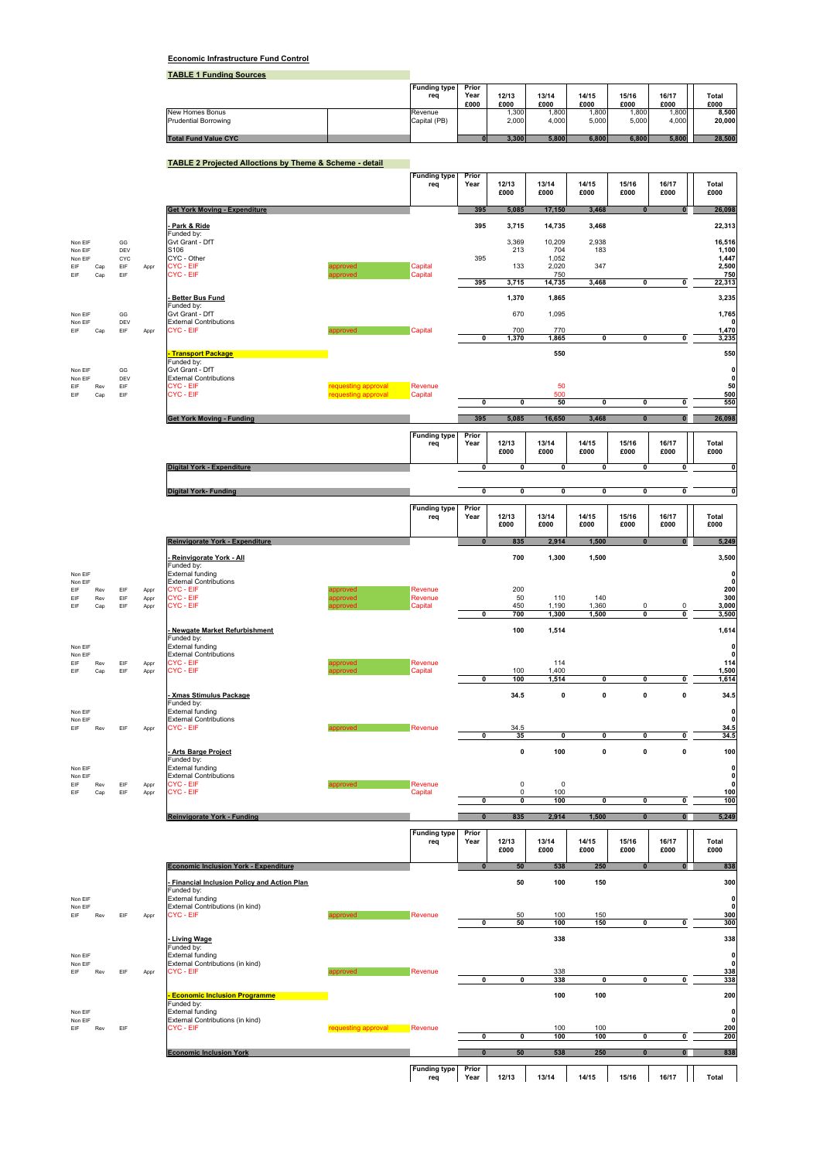## **Economic Infrastructure Fund Control**

**TABLE 1 Funding Sources**

|                             | <b>Funding type</b><br>rea | Prior<br>Year<br>£000 | 12/13<br>£000 | 13/14<br>£000 | 14/15<br>£000 | 15/16<br>£000 | 16/17<br>£000 | Total<br>£000 |
|-----------------------------|----------------------------|-----------------------|---------------|---------------|---------------|---------------|---------------|---------------|
| New Homes Bonus             | Revenue                    |                       | .300          | .800          | .800          | .800          | .800          | 8,500         |
| Prudential Borrowing        | Capital (PB)               |                       | 2.000         | 4.000         | 5.000         | 5.000         | 4.000         | 20.000        |
| <b>Total Fund Value CYC</b> |                            |                       | 3.300         | 5.800         | 6.800         | 6.800         | 5,800         | 28,500        |

**TABLE 2 Projected Alloctions by Theme & Scheme - detail**

|                    |            |            |              |                                                                 |                                            | <b>Funding type</b> | Prior                   |                            |                         |                         |                         |                         |                                   |
|--------------------|------------|------------|--------------|-----------------------------------------------------------------|--------------------------------------------|---------------------|-------------------------|----------------------------|-------------------------|-------------------------|-------------------------|-------------------------|-----------------------------------|
|                    |            |            |              |                                                                 |                                            | req                 | Year                    | 12/13                      | 13/14                   | 14/15                   | 15/16                   | 16/17                   | Total                             |
|                    |            |            |              |                                                                 |                                            |                     |                         | £000                       | £000                    | £000                    | £000                    | £000                    | £000                              |
|                    |            |            |              | <b>Get York Moving - Expenditure</b>                            |                                            |                     | 395                     | 5,085                      | 17,150                  | 3,468                   | $\bf{0}$                |                         | 26,098                            |
|                    |            |            |              |                                                                 |                                            |                     |                         |                            |                         |                         |                         |                         |                                   |
|                    |            |            |              | Park & Ride<br>Funded by:                                       |                                            |                     | 395                     | 3,715                      | 14,735                  | 3,468                   |                         |                         | 22,313                            |
| Non EIF            |            | GG         |              | Gvt Grant - DfT                                                 |                                            |                     |                         | 3,369                      | 10,209                  | 2,938                   |                         |                         | 16,516                            |
| Non EIF            |            | DEV        |              | S106                                                            |                                            |                     |                         | 213                        | 704                     | 183                     |                         |                         | 1,100                             |
| Non EIF            |            | CYC        |              | CYC - Other<br>CYC - EIF                                        |                                            |                     | 395                     | 133                        | 1,052<br>2,020          | 347                     |                         |                         | 1,447<br>2,500                    |
| EIF<br>EIF         | Cap<br>Cap | EIF<br>EIF | Appr         | CYC-EIF                                                         | approved<br>proved                         | Capital<br>Capital  |                         |                            | 750                     |                         |                         |                         | 750                               |
|                    |            |            |              |                                                                 |                                            |                     | 395                     | 3,715                      | 14,735                  | 3,468                   | $\overline{\mathbf{0}}$ | 0                       | 22,313                            |
|                    |            |            |              | <b>Better Bus Fund</b>                                          |                                            |                     |                         | 1,370                      | 1,865                   |                         |                         |                         | 3,235                             |
|                    |            |            |              | Funded by:                                                      |                                            |                     |                         |                            |                         |                         |                         |                         |                                   |
| Non EIF            |            | GG         |              | Gvt Grant - DfT                                                 |                                            |                     |                         | 670                        | 1,095                   |                         |                         |                         | 1,765                             |
| Non EIF<br>FIF     | Cap        | DEV<br>EIF | Appr         | <b>External Contributions</b><br>CYC - EIF                      | hevonnes                                   | Capital             |                         | 700                        | 770                     |                         |                         |                         | $\mathbf{0}$<br>1,470             |
|                    |            |            |              |                                                                 |                                            |                     | 0                       | 1,370                      | 1,865                   | $\overline{\mathbf{0}}$ | $\overline{\mathbf{0}}$ | 0                       | 3,235                             |
|                    |            |            |              |                                                                 |                                            |                     |                         |                            |                         |                         |                         |                         |                                   |
|                    |            |            |              | <b>Transport Package</b><br>Funded by:                          |                                            |                     |                         |                            | 550                     |                         |                         |                         | 550                               |
| Non EIF            |            | GG         |              | Gvt Grant - DfT                                                 |                                            |                     |                         |                            |                         |                         |                         |                         | $\mathbf 0$                       |
| Non EIF            |            | DEV        |              | <b>External Contributions</b>                                   |                                            |                     |                         |                            |                         |                         |                         |                         | $\mathbf 0$                       |
| EIF<br>EIF         | Rev<br>Cap | EIF<br>EIF |              | CYC - EIF<br>CYC - EIF                                          | requesting approval<br>requesting approval | Revenue<br>Capital  |                         |                            | 50<br>500               |                         |                         |                         | 50<br>500                         |
|                    |            |            |              |                                                                 |                                            |                     | $\overline{\mathbf{0}}$ | $\overline{\mathbf{0}}$    | 50                      | $\overline{\mathbf{0}}$ | $\overline{\mathbf{0}}$ | 0                       | 550                               |
|                    |            |            |              |                                                                 |                                            |                     |                         |                            |                         |                         |                         |                         |                                   |
|                    |            |            |              | <b>Get York Moving - Funding</b>                                |                                            |                     | 395                     | 5,085                      | 16,650                  | 3.468                   | $\overline{\mathbf{0}}$ | $\overline{0}$          | 26,098                            |
|                    |            |            |              |                                                                 |                                            | <b>Funding type</b> | Prior                   |                            |                         |                         |                         |                         |                                   |
|                    |            |            |              |                                                                 |                                            | req                 | Year                    | 12/13                      | 13/14                   | 14/15                   | 15/16                   | 16/17                   | Total                             |
|                    |            |            |              |                                                                 |                                            |                     |                         | £000                       | £000                    | £000                    | £000                    | £000                    | £000                              |
|                    |            |            |              | <b>Digital York - Expenditure</b>                               |                                            |                     | $\pmb{0}$               | $\pmb{0}$                  | $\mathbf 0$             | $\pmb{0}$               | $\mathbf 0$             | 0                       | $\pmb{\mathsf{o}}$                |
|                    |            |            |              |                                                                 |                                            |                     |                         |                            |                         |                         |                         |                         |                                   |
|                    |            |            |              | <b>Digital York-Funding</b>                                     |                                            |                     | $\overline{\mathbf{0}}$ | $\pmb{0}$                  | $\overline{\mathbf{0}}$ | 0                       | $\pmb{0}$               | $\overline{\mathbf{0}}$ | $\mathbf{0}$                      |
|                    |            |            |              |                                                                 |                                            |                     |                         |                            |                         |                         |                         |                         |                                   |
|                    |            |            |              |                                                                 |                                            | <b>Funding type</b> | Prior                   |                            |                         |                         |                         |                         |                                   |
|                    |            |            |              |                                                                 |                                            | req                 | Year                    | 12/13<br>£000              | 13/14<br>£000           | 14/15<br>£000           | 15/16<br>£000           | 16/17<br>£000           | Total<br>£000                     |
|                    |            |            |              |                                                                 |                                            |                     |                         |                            |                         |                         |                         |                         |                                   |
|                    |            |            |              | Reinvigorate York - Expenditure                                 |                                            |                     | $\mathbf{0}$            | 835                        | 2,914                   | 1,500                   | $\mathbf{0}$            | $\mathbf{0}$            | 5,249                             |
|                    |            |            |              |                                                                 |                                            |                     |                         | 700                        | 1,300                   | 1,500                   |                         |                         | 3,500                             |
|                    |            |            |              | Reinvigorate York - All<br>Funded by:                           |                                            |                     |                         |                            |                         |                         |                         |                         |                                   |
| Non EIF            |            |            |              | External funding                                                |                                            |                     |                         |                            |                         |                         |                         |                         | $\mathbf 0$                       |
| Non EIF            |            |            |              | <b>External Contributions</b><br>CYC - EIF                      |                                            | Revenue             |                         | 200                        |                         |                         |                         |                         | $\mathbf 0$<br>200                |
| EIF<br>EIF         | Rev<br>Rev | EIF<br>EIF | Appr<br>Appr | CYC - EIF                                                       | approved<br>pproved                        | Revenue             |                         | 50                         | 110                     | 140                     |                         |                         | 300                               |
| EIF                | Cap        | EIF        | Appr         | CYC - EIF                                                       | roved                                      | Capital             |                         | 450                        | 1,190                   | 1,360                   | $\pmb{0}$               | $\pmb{0}$               | 3,000                             |
|                    |            |            |              |                                                                 |                                            |                     | $\pmb{0}$               | 700                        | 1,300                   | 1,500                   | $\pmb{0}$               | 0                       | 3,500                             |
|                    |            |            |              | <b>Newgate Market Refurbishment</b>                             |                                            |                     |                         | 100                        | 1,514                   |                         |                         |                         | 1,614                             |
|                    |            |            |              | Funded by:                                                      |                                            |                     |                         |                            |                         |                         |                         |                         |                                   |
| Non EIF            |            |            |              | <b>External funding</b>                                         |                                            |                     |                         |                            |                         |                         |                         |                         | $\mathbf 0$                       |
| Non EIF<br>EIF     | Rev        | EIF        | Appr         | <b>External Contributions</b><br>CYC - EIF                      | ipproved                                   | Revenue             |                         |                            | 114                     |                         |                         |                         | $\mathbf 0$<br>114                |
| EIF                | Cap        | EIF        | Appr         | CYC - EIF                                                       | inroved                                    | Capital             |                         | 100                        | 1,400                   |                         |                         |                         | 1,500                             |
|                    |            |            |              |                                                                 |                                            |                     | $\pmb{0}$               | 100                        | 1,514                   | $\pmb{0}$               | $\pmb{0}$               | 0                       | 1,614                             |
|                    |            |            |              | <b>Xmas Stimulus Package</b>                                    |                                            |                     |                         | 34.5                       | 0                       | $\pmb{0}$               | 0                       | $\pmb{0}$               | 34.5                              |
|                    |            |            |              | Funded by:                                                      |                                            |                     |                         |                            |                         |                         |                         |                         |                                   |
| Non EIF            |            |            |              | External funding                                                |                                            |                     |                         |                            |                         |                         |                         |                         | $\mathbf 0$                       |
| Non EIF<br>EIF     | Rev        | EIF        | Appr         | <b>External Contributions</b><br><b>CYC - EIF</b>               | approved                                   | Revenue             |                         | 34.5                       |                         |                         |                         |                         | $\mathbf 0$<br>34.5               |
|                    |            |            |              |                                                                 |                                            |                     | $\overline{\mathbf{0}}$ | 35                         | 0                       | 0                       | $\mathbf 0$             | $\overline{\mathbf{0}}$ | 34.5                              |
|                    |            |            |              |                                                                 |                                            |                     |                         |                            |                         |                         |                         |                         |                                   |
|                    |            |            |              | <b>Arts Barge Project</b><br>Funded by:                         |                                            |                     |                         | $\pmb{0}$                  | 100                     | $\pmb{0}$               | $\pmb{0}$               | $\pmb{0}$               | 100                               |
| Non EIF            |            |            |              | <b>External funding</b>                                         |                                            |                     |                         |                            |                         |                         |                         |                         | $\mathbf 0$                       |
| Non EIF            |            |            |              | <b>External Contributions</b>                                   |                                            |                     |                         |                            |                         |                         |                         |                         | $\mathbf 0$                       |
| EIF<br>EIF         | Rev<br>Cap | EIF<br>EIF | Appr<br>Appr | CYC - EIF<br><b>CYC - EIF</b>                                   | approved                                   | Revenue<br>Capital  |                         | $\mathsf 0$<br>$\mathsf 0$ | 0<br>100                |                         |                         |                         | $\mathbf 0$<br>100                |
|                    |            |            |              |                                                                 |                                            |                     | $\pmb{0}$               | $\pmb{0}$                  | 100                     | $\pmb{0}$               | 0                       | 0                       | 100                               |
|                    |            |            |              |                                                                 |                                            |                     |                         |                            |                         |                         |                         |                         |                                   |
|                    |            |            |              | <b>Reinvigorate York - Funding</b>                              |                                            |                     | $\bf{0}$                | 835                        | 2,914                   | 1,500                   | $\pmb{0}$               | $\pmb{0}$               | 5,249                             |
|                    |            |            |              |                                                                 |                                            | <b>Funding type</b> | Prior                   |                            |                         |                         |                         |                         |                                   |
|                    |            |            |              |                                                                 |                                            | req                 | Year                    | 12/13                      | 13/14                   | 14/15                   | 15/16                   | 16/17                   | <b>Total</b>                      |
|                    |            |            |              |                                                                 |                                            |                     |                         | £000                       | £000                    | £000                    | £000                    | £000                    | £000                              |
|                    |            |            |              | <b>Economic Inclusion York - Expenditure</b>                    |                                            |                     | $\bf{0}$                | 50                         | 538                     | 250                     | $\bf{0}$                | $\bullet$               | 838                               |
|                    |            |            |              |                                                                 |                                            |                     |                         |                            |                         |                         |                         |                         |                                   |
|                    |            |            |              | <b>Financial Inclusion Policy and Action Plan</b><br>Funded by: |                                            |                     |                         | 50                         | 100                     | 150                     |                         |                         | 300                               |
| Non EIF            |            |            |              | <b>External funding</b>                                         |                                            |                     |                         |                            |                         |                         |                         |                         | $\mathbf 0$                       |
| Non EIF            |            |            |              | External Contributions (in kind)                                |                                            |                     |                         |                            |                         |                         |                         |                         | $\pmb{\mathsf{o}}$                |
| EIF                | Rev        | EIF        | Appr         | CYC - EIF                                                       | annroved                                   | Revenue             | $\overline{\mathbf{0}}$ | 50<br>50                   | 100<br>100              | 150<br>150              | $\overline{\mathbf{0}}$ | $\overline{\mathbf{0}}$ | 300<br>300                        |
|                    |            |            |              |                                                                 |                                            |                     |                         |                            |                         |                         |                         |                         |                                   |
|                    |            |            |              | <b>Living Wage</b>                                              |                                            |                     |                         |                            | 338                     |                         |                         |                         | 338                               |
| Non EIF            |            |            |              | Funded by:<br>External funding                                  |                                            |                     |                         |                            |                         |                         |                         |                         | $\mathbf 0$                       |
| Non EIF            |            |            |              | External Contributions (in kind)                                |                                            |                     |                         |                            |                         |                         |                         |                         | $\mathbf 0$                       |
| EIF                | Rev        | EIF        | Appr         | <b>CYC - EIF</b>                                                | poroved                                    | Revenue             |                         |                            | 338                     |                         |                         |                         | 338                               |
|                    |            |            |              |                                                                 |                                            |                     | 0                       | $\pmb{0}$                  | 338                     | 0                       | $\mathbf 0$             | $\pmb{0}$               | 338                               |
|                    |            |            |              | <b>Economic Inclusion Programme</b>                             |                                            |                     |                         |                            | 100                     | 100                     |                         |                         | 200                               |
|                    |            |            |              | Funded by:                                                      |                                            |                     |                         |                            |                         |                         |                         |                         |                                   |
| Non EIF<br>Non EIF |            |            |              | External funding<br>External Contributions (in kind)            |                                            |                     |                         |                            |                         |                         |                         |                         | $\pmb{\mathsf{o}}$<br>$\mathbf 0$ |
| FIF                | Rev        | EIF        |              | CYC - EIF                                                       | requesting approval Revenue                |                     |                         |                            | 100                     | 100                     |                         |                         | 200                               |
|                    |            |            |              |                                                                 |                                            |                     | 0                       | 0                          | 100                     | 100                     | 0                       | 0                       | 200                               |
|                    |            |            |              | <b>Economic Inclusion York</b>                                  |                                            |                     | $\pmb{0}$               | 50                         | 538                     | 250                     | $\pmb{0}$               | $\bf{0}$                | 838                               |
|                    |            |            |              |                                                                 |                                            |                     |                         |                            |                         |                         |                         |                         |                                   |
|                    |            |            |              |                                                                 |                                            | <b>Funding type</b> | Prior                   |                            |                         |                         |                         |                         |                                   |
|                    |            |            |              |                                                                 |                                            | req                 | Year                    | 12/13                      | 13/14                   | 14/15                   | 15/16                   | 16/17                   | Total                             |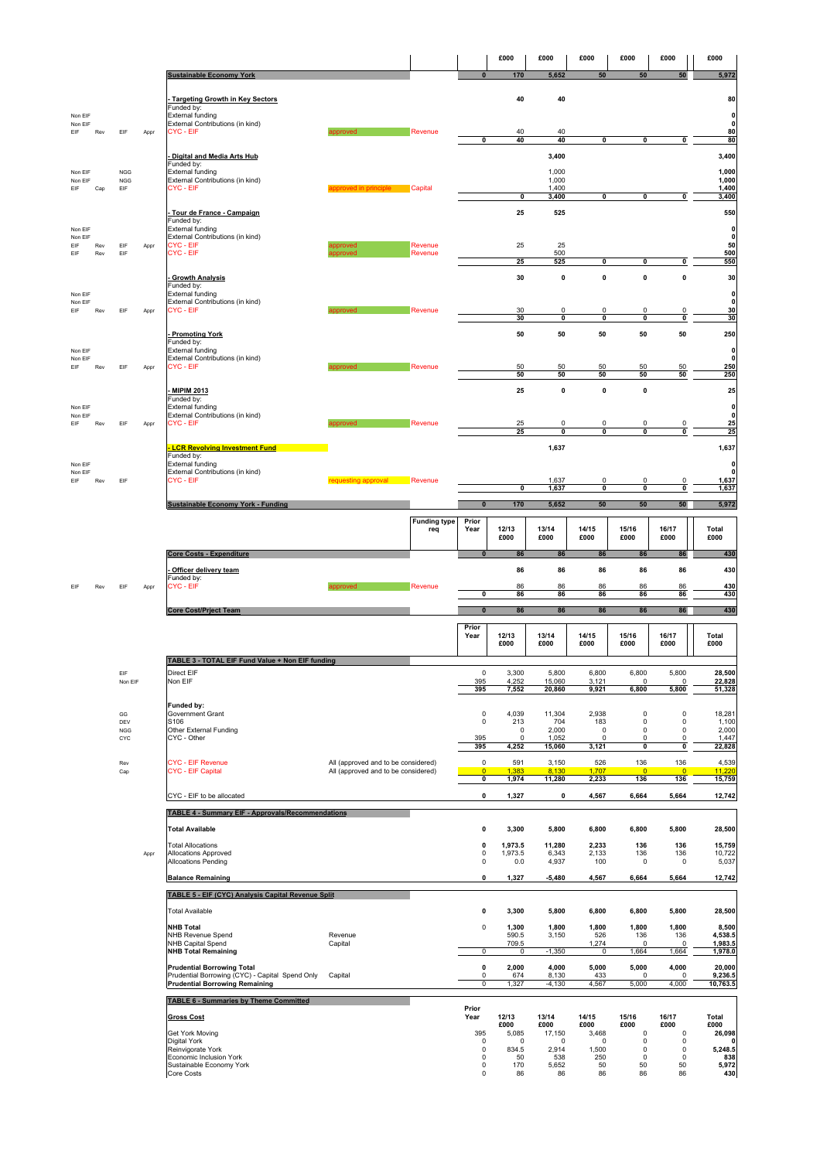|                    |            |                          |      |                                                                                      |                                                                            |                     |                                           | £000             | £000               | £000                     | £000                    | £000                     | £000                             |
|--------------------|------------|--------------------------|------|--------------------------------------------------------------------------------------|----------------------------------------------------------------------------|---------------------|-------------------------------------------|------------------|--------------------|--------------------------|-------------------------|--------------------------|----------------------------------|
|                    |            |                          |      | <b>Sustainable Economy York</b>                                                      |                                                                            |                     | $\bf{0}$                                  | 170              | 5,652              | 50                       | 50                      | 50                       | 5,972                            |
|                    |            |                          |      | <b>Targeting Growth in Key Sectors</b>                                               |                                                                            |                     |                                           | 40               | 40                 |                          |                         |                          | 80                               |
| Non EIF            |            |                          |      | Funded by:<br><b>External funding</b>                                                |                                                                            |                     |                                           |                  |                    |                          |                         |                          | 0                                |
| Non EIF<br>EIF     | Rev        | EIF                      | Appr | External Contributions (in kind)<br>CYC - EIF                                        |                                                                            | Revenue             |                                           | 40               | 40                 |                          |                         |                          | 0<br>80                          |
|                    |            |                          |      |                                                                                      |                                                                            |                     | 0                                         | 40               | 40                 | 0                        | 0                       | 0                        | 80                               |
|                    |            |                          |      | Digital and Media Arts Hub<br>Funded by:                                             |                                                                            |                     |                                           |                  | 3,400              |                          |                         |                          | 3,400                            |
| Non EIF<br>Non EIF |            | <b>NGG</b><br><b>NGG</b> |      | External funding<br>External Contributions (in kind)                                 |                                                                            |                     |                                           |                  | 1,000<br>1,000     |                          |                         |                          | 1,000<br>1,000                   |
| EIF                | Cap        | EIF                      |      | CYC - EIF                                                                            | approved in principle Capital                                              |                     |                                           |                  | 1,400              |                          |                         |                          | 1,400                            |
|                    |            |                          |      |                                                                                      |                                                                            |                     |                                           | 0                | 3,400              | 0                        | 0                       | 0                        | 3,400                            |
|                    |            |                          |      | Tour de France - Campaign<br>Funded by:                                              |                                                                            |                     |                                           | 25               | 525                |                          |                         |                          | 550                              |
| Non EIF<br>Non EIF |            |                          |      | External funding<br>External Contributions (in kind)                                 |                                                                            |                     |                                           |                  |                    |                          |                         |                          | 0<br>$\pmb{0}$                   |
| FIF<br>EIF         | Rev<br>Rev | FIF<br>EIF               | Appr | CYC - EIF<br>CYC-EIF                                                                 | ipproved<br>inroved                                                        | Revenue<br>Revenue  |                                           | 25               | 25<br>500          |                          |                         |                          | 50<br>500                        |
|                    |            |                          |      |                                                                                      |                                                                            |                     |                                           | 25               | 525                | 0                        | 0                       | $\pmb{0}$                | 550                              |
|                    |            |                          |      | <b>Growth Analysis</b><br>unded by:                                                  |                                                                            |                     |                                           | 30               | $\pmb{0}$          | $\pmb{0}$                | 0                       | $\pmb{0}$                | 30                               |
| Non EIF<br>Non EIF |            |                          |      | <b>External funding</b><br>External Contributions (in kind)                          |                                                                            |                     |                                           |                  |                    |                          |                         |                          | 0<br>0                           |
| EIF                | Rev        | EIF                      | Appr | CYC - EIF                                                                            |                                                                            | Revenue             |                                           | 30<br>30         | 0<br>0             | 0<br>0                   | 0<br>0                  | 0<br>0                   | 30<br>30                         |
|                    |            |                          |      | <b>Promoting York</b>                                                                |                                                                            |                     |                                           | 50               | 50                 | 50                       | 50                      | 50                       | 250                              |
| Non EIF            |            |                          |      | Funded by:<br>External funding                                                       |                                                                            |                     |                                           |                  |                    |                          |                         |                          | 0                                |
| Non EIF<br>EIF     | Rev        | EIF                      |      | External Contributions (in kind)<br>CYC - EIF                                        | annroved                                                                   | Revenue             |                                           | 50               | 50                 | 50                       | 50                      | 50                       | $\mathbf 0$<br>250               |
|                    |            |                          | Appr |                                                                                      |                                                                            |                     |                                           | 50               | 50                 | 50                       | 50                      | 50                       | 250                              |
|                    |            |                          |      | <b>MIPIM 2013</b>                                                                    |                                                                            |                     |                                           | 25               | $\pmb{0}$          | 0                        | 0                       |                          | 25                               |
| Non EIF            |            |                          |      | Funded by:<br>External funding                                                       |                                                                            |                     |                                           |                  |                    |                          |                         |                          | 0                                |
| Non EIF<br>EIF     | Rev        | EIF                      | Appr | External Contributions (in kind)<br>CYC - EIF                                        | ipproved                                                                   | Revenue             |                                           | 25               | 0                  | 0                        | 0                       | 0                        | 0<br>25                          |
|                    |            |                          |      |                                                                                      |                                                                            |                     |                                           | 25               | 0                  | 0                        | 0                       | $\pmb{0}$                | 25                               |
|                    |            |                          |      | <b>LCR Revolving Investment Fund</b><br>Funded by:                                   |                                                                            |                     |                                           |                  | 1,637              |                          |                         |                          | 1,637                            |
| Non EIF<br>Non EIF |            |                          |      | External funding<br>External Contributions (in kind)                                 |                                                                            |                     |                                           |                  |                    |                          |                         |                          | 0<br>$\mathbf{0}$                |
| EIF                | Rev        | EIF                      |      | CYC - EIF                                                                            | requesting approval                                                        | Revenue             |                                           | 0                | 1,637<br>1,637     | 0<br>$\pmb{0}$           | 0<br>0                  | 0<br>$\pmb{0}$           | 1,637<br>1,637                   |
|                    |            |                          |      | <b>Sustainable Economy York - Funding</b>                                            |                                                                            |                     |                                           | 170              | 5,652              | 50                       | ${\bf 50}$              | 50                       | 5,972                            |
|                    |            |                          |      |                                                                                      |                                                                            | <b>Funding type</b> | Prior                                     |                  |                    |                          |                         |                          |                                  |
|                    |            |                          |      |                                                                                      |                                                                            | req                 | Year                                      | 12/13<br>£000    | 13/14<br>£000      | 14/15<br>£000            | 15/16<br>£000           | 16/17<br>£000            | Total<br>£000                    |
|                    |            |                          |      |                                                                                      |                                                                            |                     |                                           |                  |                    |                          |                         |                          |                                  |
|                    |            |                          |      | <b>Core Costs - Expenditure</b>                                                      |                                                                            |                     |                                           | 86               | 86                 | 86                       | 86                      | 86                       | 430                              |
|                    |            |                          |      |                                                                                      |                                                                            |                     |                                           |                  |                    |                          |                         |                          |                                  |
|                    |            |                          |      | Officer delivery team<br>unded by:                                                   |                                                                            |                     |                                           | 86               | 86                 | 86                       | 86                      | 86                       | 430                              |
| EIF                | Rev        | EIF                      | Appr | CYC - EIF                                                                            |                                                                            | Revenue             | $\pmb{0}$                                 | 86<br>86         | 86<br>86           | 86<br>86                 | 86<br>86                | 86<br>86                 | 430<br>430                       |
|                    |            |                          |      | <b>Core Cost/Prject Team</b>                                                         |                                                                            |                     | $\mathbf{0}$                              | 86               | 86                 | 86                       | 86                      | 86                       | 430                              |
|                    |            |                          |      |                                                                                      |                                                                            |                     | Prior                                     |                  |                    |                          |                         |                          |                                  |
|                    |            |                          |      |                                                                                      |                                                                            |                     | Year                                      | 12/13<br>£000    | 13/14<br>£000      | 14/15<br>£000            | 15/16<br>£000           | 16/17<br>£000            | Total<br>£000                    |
|                    |            |                          |      | TABLE 3 - TOTAL EIF Fund Value + Non EIF funding                                     |                                                                            |                     |                                           |                  |                    |                          |                         |                          |                                  |
|                    |            | 비                        |      | Direct EIF                                                                           |                                                                            |                     | 0                                         | 3,300            | 5,800              | 6,800                    | 6,800                   | 5,800                    | 28,500                           |
|                    |            | Non EIF                  |      | Non EIF                                                                              |                                                                            |                     | 395<br>395                                | 4,252<br>7,552   | 15,060<br>20,860   | 3,121<br>9,921           | 0<br>6,800              | $\mathsf 0$<br>5,800     | 22,828<br>51,328                 |
|                    |            |                          |      | Funded by:                                                                           |                                                                            |                     |                                           |                  |                    |                          |                         |                          |                                  |
|                    |            | GG<br>DEV                |      | Government Grant<br>S106                                                             |                                                                            |                     | $\mathbf 0$<br>$\mathsf 0$                | 4,039<br>213     | 11,304<br>704      | 2,938<br>183             | 0<br>$\mathbf 0$        | $\pmb{0}$<br>$\pmb{0}$   | 18,281<br>1,100                  |
|                    |            | <b>NGG</b><br>CYC        |      | Other External Funding<br>CYC - Other                                                |                                                                            |                     | 395                                       | 0<br>$\mathsf 0$ | 2,000<br>1,052     | $\mathsf 0$<br>$\pmb{0}$ | 0<br>0                  | $\mathsf 0$<br>$\pmb{0}$ | 2,000<br>1,447                   |
|                    |            |                          |      |                                                                                      |                                                                            |                     | 395                                       | 4,252            | 15,060             | 3,121                    | 0                       | O                        | 22,828                           |
|                    |            | Rev<br>Cap               |      | <b>CYC - EIF Revenue</b><br><b>CYC - EIF Capital</b>                                 | All (approved and to be considered)<br>All (approved and to be considered) |                     | $\mathsf 0$<br>$\overline{0}$             | 591<br>1,383     | 3,150<br>8,130     | 526<br>1,707             | 136<br>$\overline{0}$   | 136<br>$\overline{0}$    | 4,539<br>11,220                  |
|                    |            |                          |      |                                                                                      |                                                                            |                     | $\mathbf 0$                               | 1,974            | 11,280             | 2,233                    | 136                     | 136                      | 15,759                           |
|                    |            |                          |      | CYC - EIF to be allocated                                                            |                                                                            |                     | $\pmb{0}$                                 | 1,327            | 0                  | 4,567                    | 6,664                   | 5,664                    | 12,742                           |
|                    |            |                          |      | <b>TABLE 4 - Summary EIF - Approvals/Recommendations</b>                             |                                                                            |                     |                                           |                  |                    |                          |                         |                          |                                  |
|                    |            |                          |      | <b>Total Available</b>                                                               |                                                                            |                     | $\pmb{0}$                                 | 3,300            | 5,800              | 6,800                    | 6,800                   | 5,800                    | 28,500                           |
|                    |            |                          |      | <b>Total Allocations</b>                                                             |                                                                            |                     | $\pmb{0}$                                 | 1,973.5          | 11,280             | 2,233                    | 136                     | 136                      |                                  |
|                    |            |                          | Appr | Allocations Approved<br>Allcoations Pending                                          |                                                                            |                     | 0<br>$\mathsf 0$                          | 1,973.5<br>0.0   | 6,343<br>4,937     | 2,133<br>100             | 136<br>0                | 136<br>0                 | <b>15,759</b><br>10,722<br>5,037 |
|                    |            |                          |      | <b>Balance Remaining</b>                                                             |                                                                            |                     | $\mathbf 0$                               | 1,327            | $-5,480$           | 4,567                    | 6,664                   | 5,664                    | 12,742                           |
|                    |            |                          |      | TABLE 5 - EIF (CYC) Analysis Capital Revenue Split                                   |                                                                            |                     |                                           |                  |                    |                          |                         |                          |                                  |
|                    |            |                          |      | <b>Total Available</b>                                                               |                                                                            |                     | $\pmb{0}$                                 | 3,300            | 5,800              | 6,800                    | 6,800                   | 5,800                    | 28,500                           |
|                    |            |                          |      | <b>NHB Total</b>                                                                     |                                                                            |                     | $\mathsf 0$                               | 1,300            | 1,800              | 1,800                    | 1,800                   | 1,800                    | 8,500                            |
|                    |            |                          |      | NHB Revenue Spend<br>NHB Capital Spend                                               | Revenue<br>Capital                                                         |                     |                                           | 590.5<br>709.5   | 3,150              | 526<br>1,274             | 136<br>$\mathbf 0$      | 136<br>$\mathbf 0$       | 4,538.5<br>1,983.5               |
|                    |            |                          |      | <b>NHB Total Remaining</b>                                                           |                                                                            |                     | $\overline{0}$                            | $\mathsf 0$      | $-1,350$           | $\mathsf 0$              | 1,664                   | 1,664                    | 1,978.0                          |
|                    |            |                          |      | <b>Prudential Borrowing Total</b><br>Prudential Borrowing (CYC) - Capital Spend Only | Capital                                                                    |                     | $\pmb{0}$<br>$\mathsf 0$                  | 2,000<br>674     | 4,000<br>8,130     | 5,000<br>433             | 5,000<br>$\mathsf 0$    | 4,000<br>$\mathsf 0$     | 20,000                           |
|                    |            |                          |      | <b>Prudential Borrowing Remaining</b>                                                |                                                                            |                     | $\mathsf 0$                               | 1,327            | $-4,130$           | 4,567                    | 5,000                   | 4,000                    | 9,236.5<br>10,763.5              |
|                    |            |                          |      | TABLE 6 - Summaries by Theme Committed                                               |                                                                            |                     |                                           |                  |                    |                          |                         |                          |                                  |
|                    |            |                          |      | <b>Gross Cost</b>                                                                    |                                                                            |                     | Prior<br>Year                             | 12/13            | 13/14              | 14/15                    | 15/16                   | 16/17                    | Total                            |
|                    |            |                          |      | Get York Moving                                                                      |                                                                            |                     | 395                                       | £000<br>5,085    | £000<br>17,150     | £000<br>3,468            | £000<br>$\pmb{0}$       | £000<br>$\pmb{0}$        | £000<br>26,098                   |
|                    |            |                          |      | Digital York<br>Reinvigorate York                                                    |                                                                            |                     | 0<br>$\mathsf 0$                          | 0<br>834.5       | 0<br>2,914         | 0<br>1,500               | 0<br>$\overline{0}$     | 0<br>$\pmb{0}$           | 5,248.5                          |
|                    |            |                          |      | Economic Inclusion York<br>Sustainable Economy York<br>Core Costs                    |                                                                            |                     | $\mathsf 0$<br>$\mathsf 0$<br>$\mathsf 0$ | 50<br>170<br>86  | 538<br>5,652<br>86 | 250<br>50<br>86          | $\mathbf 0$<br>50<br>86 | $\mathsf 0$<br>50<br>86  | 838<br>5,972<br>430              |